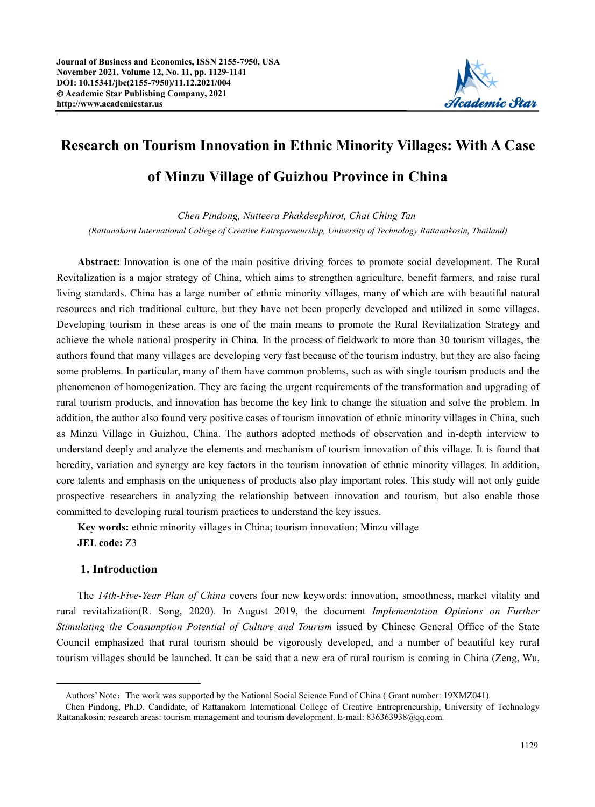

# **Research on Tourism Innovation in Ethnic Minority Villages: With A Case of Minzu Village of Guizhou Province in China**

*Chen Pindong, Nutteera Phakdeephirot, Chai Ching T[an](#page-0-0) (Rattanakorn International College of Creative Entrepreneurship, University of Technology Rattanakosin, Thailand)*

**Abstract:** Innovation is one of the main positive driving forces to promote social development. The Rural Revitalization is a major strategy of China, which aims to strengthen agriculture, benefit farmers, and raise rural living standards. China has a large number of ethnic minority villages, many of which are with beautiful natural resources and rich traditional culture, but they have not been properly developed and utilized in some villages. Developing tourism in these areas is one of the main means to promote the Rural Revitalization Strategy and achieve the whole national prosperity in China. In the process of fieldwork to more than 30 tourism villages, the authors found that many villages are developing very fast because of the tourism industry, but they are also facing some problems. In particular, many of them have common problems, such as with single tourism products and the phenomenon of homogenization. They are facing the urgent requirements of the transformation and upgrading of rural tourism products, and innovation has become the key link to change the situation and solve the problem. In addition, the author also found very positive cases of tourism innovation of ethnic minority villages in China, such as Minzu Village in Guizhou, China. The authors adopted methods of observation and in-depth interview to understand deeply and analyze the elements and mechanism of tourism innovation of this village. It is found that heredity, variation and synergy are key factors in the tourism innovation of ethnic minority villages. In addition, core talents and emphasis on the uniqueness of products also play importantroles. This study will not only guide prospective researchers in analyzing the relationship between innovation and tourism, but also enable those committed to developing rural tourism practices to understand the key issues.

**Key words:**ethnic minority villages in China; tourism innovation; Minzu village **JEL code:** Z3

# **1. Introduction**

The *14th-Five-Year Plan of China* covers four new keywords: innovation, smoothness, market vitality and rural revitalization(R. Song, 2020). In August 2019, the document *Implementation Opinions on Further Stimulating the Consumption Potential of Culture and Tourism* issued by Chinese General Office of the State Council emphasized that rural tourism should be vigorously developed, and a number of beautiful key rural tourism villages should be launched. It can be said that a new era of rural tourism is coming in China (Zeng, Wu,

<span id="page-0-0"></span>Authors' Note: The work was supported by the National Social Science Fund of China ( Grant number: 19XMZ041).

Chen Pindong, Ph.D. Candidate, of Rattanakorn International College of Creative Entrepreneurship, University of Technology Rattanakosin; research areas: tourism management and tourism development. E-mail: 836363938@qq.com.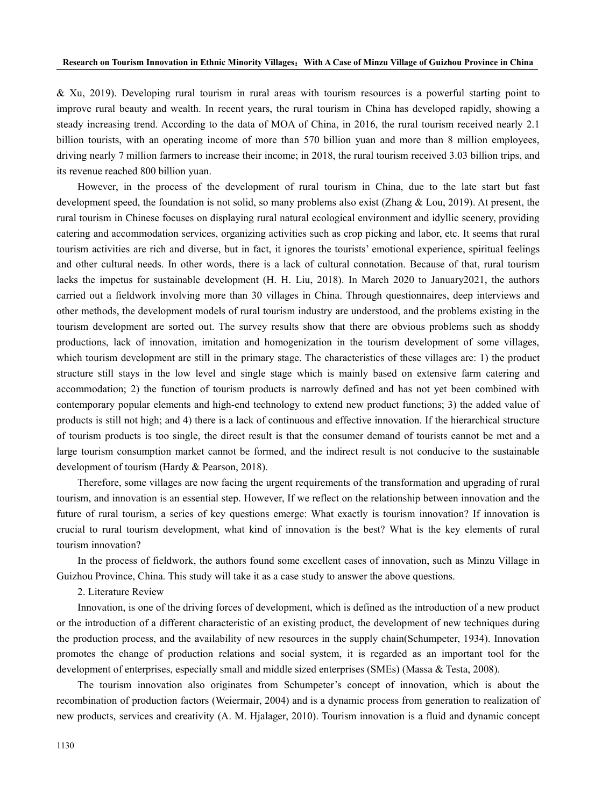& Xu, 2019). Developing rural tourism in rural areas with tourism resources is a powerful starting point to improve rural beauty and wealth. In recent years, the rural tourism in China has developed rapidly, showing a steady increasing trend. According to the data of MOA of China, in 2016, the rural tourism received nearly 2.1 billion tourists, with an operating income of more than 570 billion yuan and more than 8 million employees, driving nearly 7 million farmers to increase their income; in 2018, the rural tourism received 3.03 billion trips, and its revenue reached 800 billion yuan.

However, in the process of the development of rural tourism in China, due to the late start but fast development speed, the foundation is not solid, so many problems also exist (Zhang & Lou, 2019). At present, the rural tourism in Chinese focuses on displaying rural natural ecological environment and idyllic scenery, providing catering and accommodation services, organizing activities such as crop picking and labor, etc. It seems that rural tourism activities are rich and diverse, but in fact, it ignores the tourists' emotional experience, spiritual feelings and other cultural needs. In other words, there is a lack of cultural connotation. Because of that, rural tourism lacks the impetus for sustainable development (H. H. Liu, 2018). In March 2020 to January2021, the authors carried out a fieldwork involving more than 30 villages in China. Through questionnaires, deep interviews and other methods, the development models of rural tourism industry are understood, and the problems existing in the tourism development are sorted out. The survey results show that there are obvious problems such as shoddy productions, lack of innovation, imitation and homogenization in the tourism development of some villages, which tourism development are still in the primary stage. The characteristics of these villages are: 1) the product structure still stays in the low level and single stage which is mainly based on extensive farm catering and accommodation; 2) the function of tourism products is narrowly defined and has not yet been combined with contemporary popular elements and high-end technology to extend new product functions; 3) the added value of products is still not high; and 4) there is a lack of continuous and effective innovation. If the hierarchical structure of tourism products is too single, the direct result is that the consumer demand of tourists cannot be met and a large tourism consumption market cannot be formed, and the indirect result is not conducive to the sustainable development of tourism (Hardy & Pearson, 2018).

Therefore, some villages are now facing the urgent requirements of the transformation and upgrading of rural tourism, and innovation is an essential step. However, If we reflect on the relationship between innovation and the future of rural tourism, a series of key questions emerge: What exactly is tourism innovation? If innovation is crucial to rural tourism development, what kind of innovation is the best? What is the key elements of rural tourism innovation?

In the process of fieldwork, the authors found some excellent cases of innovation, such as Minzu Village in Guizhou Province, China. This study will take it as a case study to answerthe above questions.

2. Literature Review

Innovation, is one of the driving forces of development, which is defined as the introduction of a new product or the introduction of a different characteristic of an existing product, the development of new techniques during the production process, and the availability of new resources in the supply chain(Schumpeter, 1934). Innovation promotes the change of production relations and social system, it is regarded as an important tool for the development of enterprises, especially small and middle sized enterprises (SMEs) (Massa & Testa,2008).

The tourism innovation also originates from Schumpeter's concept of innovation, which is about the recombination of production factors (Weiermair, 2004) and is a dynamic process from generation to realization of new products, services and creativity (A. M. Hjalager, 2010). Tourism innovation is afluid and dynamic concept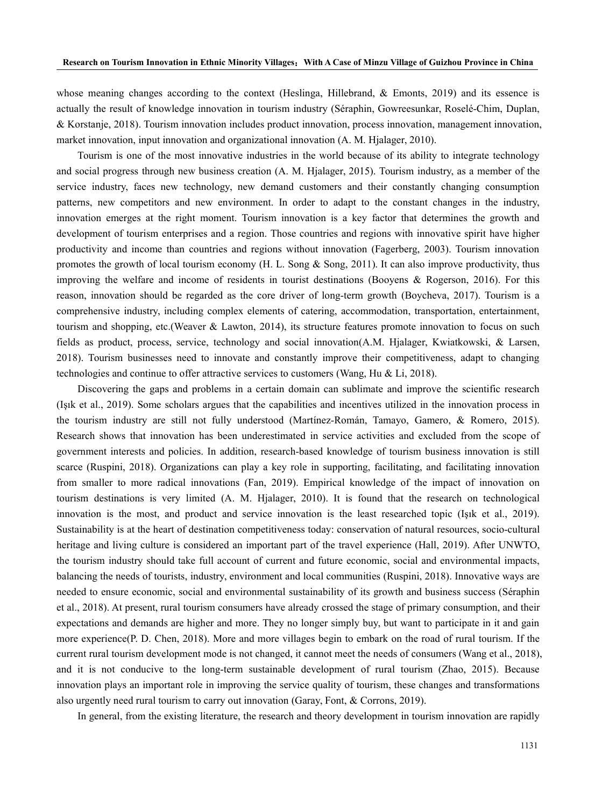whose meaning changes according to the context (Heslinga, Hillebrand, & Emonts, 2019) and its essence is actually the result of knowledge innovation in tourism industry (Séraphin, Gowreesunkar, Roselé-Chim, Duplan, & Korstanje, 2018). Tourism innovation includes product innovation, process innovation, management innovation, market innovation, input innovation and organizational innovation (A. M. Hjalager, 2010).

Tourism is one of the most innovative industries in the world because of its ability to integrate technology and social progress through new business creation (A. M. Hjalager, 2015). Tourism industry, as a member of the service industry, faces new technology, new demand customers and their constantly changing consumption patterns, new competitors and new environment. In order to adapt to the constant changes in the industry, innovation emerges at the right moment. Tourism innovation is a key factor that determines the growth and development of tourism enterprises and a region. Those countries and regions with innovative spirit have higher productivity and income than countries and regions without innovation (Fagerberg, 2003). Tourism innovation promotes the growth of local tourism economy (H. L. Song & Song, 2011). It can also improve productivity, thus improving the welfare and income of residents in tourist destinations (Booyens & Rogerson, 2016). For this reason, innovation should be regarded as the core driver of long-term growth (Boycheva, 2017). Tourism is a comprehensive industry, including complex elements of catering, accommodation, transportation, entertainment, tourism and shopping, etc.(Weaver & Lawton, 2014), its structure features promote innovation to focus on such fields as product, process, service, technology and social innovation(A.M. Hjalager, Kwiatkowski, & Larsen, 2018). Tourism businesses need to innovate and constantly improve their competitiveness, adapt to changing technologies and continue to offer attractive services to customers (Wang, Hu & Li, 2018).

Discovering the gaps and problems in a certain domain can sublimate and improve the scientific research (Işık et al., 2019). Some scholars argues that the capabilities and incentives utilized in the innovation process in the tourism industry are still not fully understood (Martínez-Román, Tamayo, Gamero, & Romero, 2015). Research shows that innovation has been underestimated in service activities and excluded from the scope of government interests and policies. In addition, research-based knowledge of tourism business innovation is still scarce (Ruspini, 2018). Organizations can play a key role in supporting, facilitating, and facilitating innovation from smaller to more radical innovations (Fan, 2019). Empirical knowledge of the impact of innovation on tourism destinations is very limited (A. M. Hjalager, 2010). It is found that the research on technological innovation is the most, and product and service innovation is the least researched topic (Işık et al., 2019). Sustainability is at the heart of destination competitiveness today: conservation of natural resources, socio-cultural heritage and living culture is considered an important part of the travel experience (Hall, 2019). After UNWTO, the tourism industry should take full account of current and future economic, social and environmental impacts, balancing the needs of tourists, industry, environment and local communities (Ruspini, 2018). Innovative ways are needed to ensure economic, social and environmental sustainability of its growth and business success (Séraphin et al., 2018). At present, rural tourism consumers have already crossed the stage of primary consumption, and their expectations and demands are higher and more. They no longer simply buy, but want to participate in it and gain more experience(P. D. Chen, 2018). More and more villages begin to embark on the road of rural tourism. If the current rural tourism development mode is not changed, it cannot meet the needs of consumers (Wang et al., 2018), and it is not conducive to the long-term sustainable development of rural tourism (Zhao, 2015). Because innovation plays an important role in improving the service quality of tourism, these changes and transformations also urgently need rural tourism to carry out innovation (Garay, Font, & Corrons, 2019).

In general, from the existing literature, the research and theory development in tourism innovation are rapidly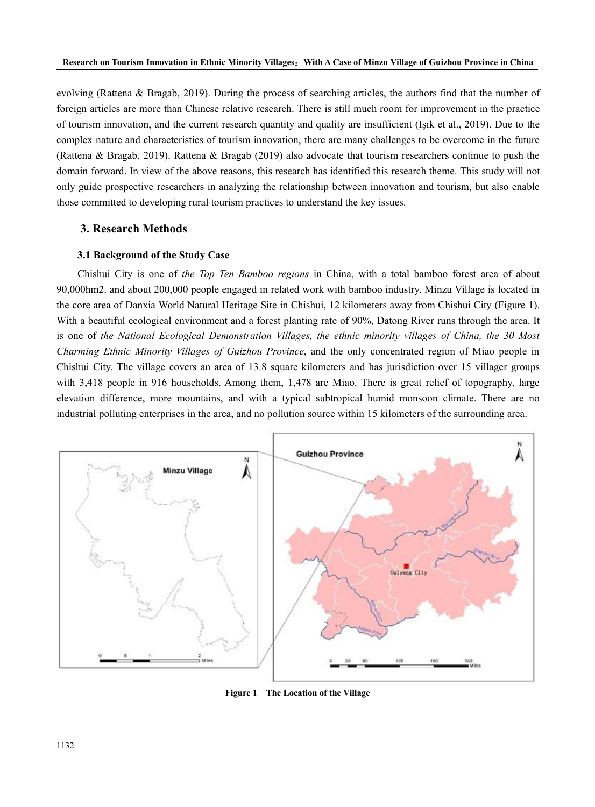evolving (Rattena & Bragab, 2019). During the process of searching articles, the authors find that the number of foreign articles are more than Chinese relative research. There is still much room for improvement in the practice of tourism innovation, and the current research quantity and quality are insufficient (Işık et al., 2019). Due to the complex nature and characteristics of tourism innovation, there are many challenges to be overcome in the future (Rattena & Bragab, 2019). Rattena & Bragab (2019) also advocate that tourism researchers continue to push the domain forward. In view of the above reasons, this research has identified this research theme. This study will not only guide prospective researchers in analyzing the relationship between innovation and tourism, but also enable those committed to developing rural tourism practices to understand the key issues.

# **3. Research Methods**

## **3.1 Background of the Study Case**

Chishui City is one of *the Top Ten Bamboo regions* in China, with a total bamboo forest area of about 90,000hm2. and about 200,000 people engaged in related work with bamboo industry. Minzu Village islocated in the core area of Danxia World Natural Heritage Site in Chishui, 12 kilometers away from Chishui City (Figure 1).<br>With a beautiful ecological environment and a forest planting rate of 90%, Datong River runs through the area is one of *the National Ecological Demonstration Villages, the ethnic minority villages of China, the 30 Most Charming Ethnic Minority Villages of Guizhou Province*, and the only concentrated region of Miao people in Chishui City. The village covers an area of 13.8 square kilometers and has jurisdiction over 15 villager groups with 3,418 people in 916 households. Among them, 1,478 are Miao. There is great relief of topography, large elevation difference, more mountains, and with a typical subtropical humid monsoon climate. There are no industrial polluting enterprises in the area, and no pollution source within 15 kilometers ofthe surrounding area.



**Figure 1 The Location of the Village**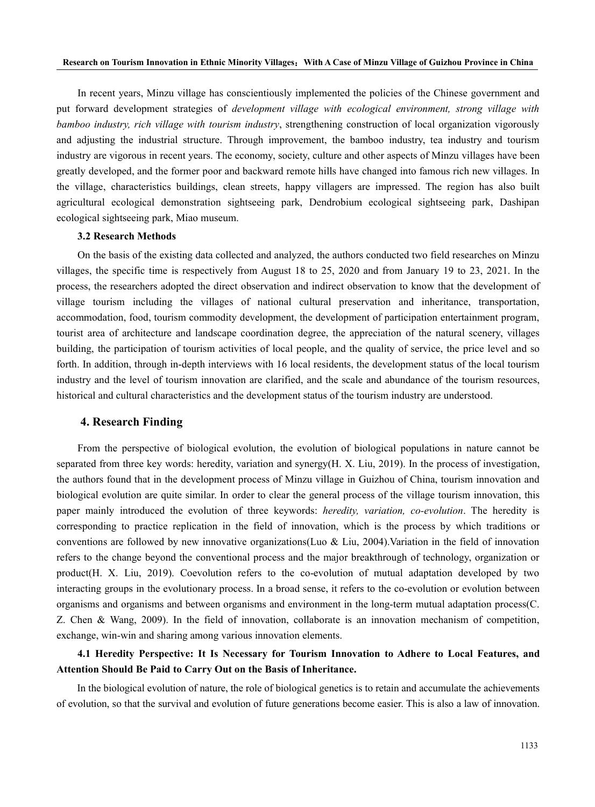In recent years, Minzu village has conscientiously implemented the policies of the Chinese government and put forward development strategies of *development village with ecological environment, strong village with bamboo industry, rich village with tourism industry*, strengthening construction of local organization vigorously and adjusting the industrial structure. Through improvement, the bamboo industry, tea industry and tourism industry are vigorous in recent years. The economy, society, culture and other aspects of Minzu villages have been greatly developed, and the former poor and backward remote hills have changed into famous rich new villages. In the village, characteristics buildings, clean streets, happy villagers are impressed. The region has also built agricultural ecological demonstration sightseeing park, Dendrobium ecological sightseeing park, Dashipan ecological sightseeing park, Miao museum.

# **3.2 Research Methods**

On the basis ofthe existing data collected and analyzed, the authors conducted two field researches on Minzu villages, the specific time is respectively from August 18 to  $25$ ,  $2020$  and from January 19 to  $23$ ,  $2021$ . In the process, the researchers adopted the direct observation and indirect observation to know that the development of village tourism including the villages of national cultural preservation and inheritance, transportation, accommodation, food, tourism commodity development, the development of participation entertainment program, tourist area of architecture and landscape coordination degree, the appreciation of the natural scenery, villages building, the participation of tourism activities of local people, and the quality of service, the price level and so forth. In addition, through in-depth interviews with 16 local residents, the development status of the local tourism industry and the level of tourism innovation are clarified, and the scale and abundance of the tourism resources, historical and cultural characteristics and the development status of the tourism industry are understood.

### **4. Research Finding**

From the perspective of biological evolution, the evolution of biological populations in nature cannot be separated from three key words: heredity, variation and synergy(H.X. Liu, 2019). In the process of investigation, the authors found that in the development process of Minzu village in Guizhou of China, tourism innovation and biological evolution are quite similar. In order to clear the general process of the village tourism innovation, this paper mainly introduced the evolution of three keywords: *heredity, variation, co-evolution*. The heredity is corresponding to practice replication in the field of innovation, which is the process by which traditions or conventions are followed by new innovative organizations(Luo & Liu, 2004).Variation in the field of innovation refers to the change beyond the conventional process and the major breakthrough of technology, organization or product(H. X. Liu, 2019). Coevolution refers to the co-evolution of mutual adaptation developed by two interacting groups in the evolutionary process. In a broad sense, it refers to the co-evolution or evolution between organisms and organisms and between organisms and environment in the long-term mutual adaptation process(C. Z. Chen & Wang, 2009). In the field of innovation, collaborate is an innovation mechanism of competition, exchange, win-win and sharing among various innovation elements.

# **4.1 Heredity Perspective: It Is Necessary for Tourism Innovation toAdhere to Local Features, and Attention Should Be Paid toCarry Out on the Basis ofInheritance.**

In the biological evolution of nature, the role of biological genetics is to retain and accumulate the achievements of evolution, so that the survival and evolution of future generations become easier. This is also a law of innovation.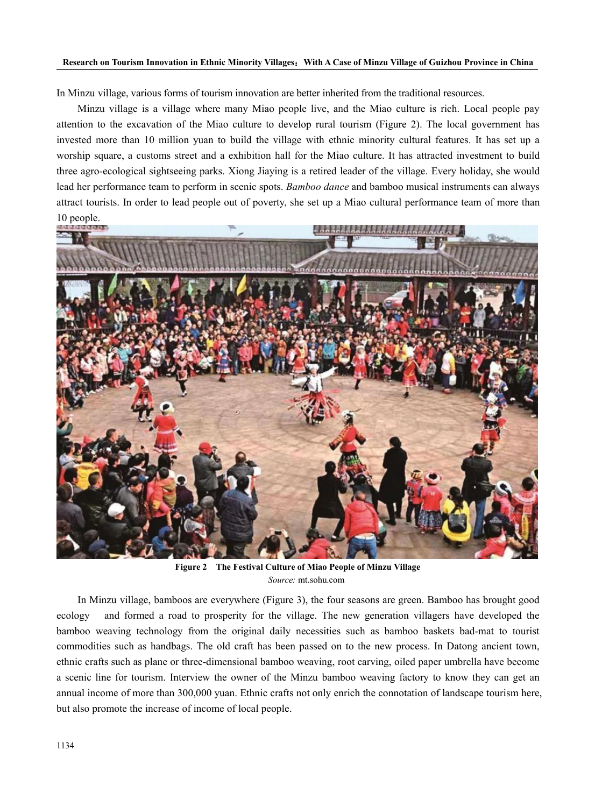#### Research on Tourism Innovation in Ethnic Minority Villages: With A Case of Minzu Village of Guizhou Province in China

In Minzu village, various forms of tourism innovation are better inherited from the traditional resources.

Minzu village is a village where many Miao people live, and the Miao culture is rich. Local people pay attention to the excavation of the Miao culture to develop rural tourism (Figure 2). The local government has invested more than 10 million yuan to build the village with ethnic minority cultural features. It has set up a worship square, a customs street and a exhibition hall for the Miao culture. It has attracted investment to build three agro-ecological sightseeing parks. Xiong Jiaying is a retired leader of the village. Every holiday, she would lead her performance team to perform in scenic spots. *Bamboo dance* and bamboo musical instruments can always attract tourists. In order to lead people out of poverty, she set up a Miao cultural performance team of more than 10 people.



**Figure 2 The Festival Culture of Miao People of Minzu Village** *Source:* mt.sohu.com

In Minzu village, bamboos are everywhere (Figure 3), the four seasons are green. Bamboo has brought good ecology and formed a road to prosperity for the village. The new generation villagers have developed the bamboo weaving technology from the original daily necessities such as bamboo baskets bad-mat to tourist commodities such as handbags. The old craft has been passed on to the new process. In Datong ancient town, ethnic crafts such as plane or three-dimensional bamboo weaving, root carving, oiled paper umbrella have become a scenic line for tourism. Interview the owner of the Minzu bamboo weaving factory to know they can get an annual income of more than 300,000 yuan. Ethnic crafts not only enrich the connotation of landscape tourism here, but also promote the increase of income of local people.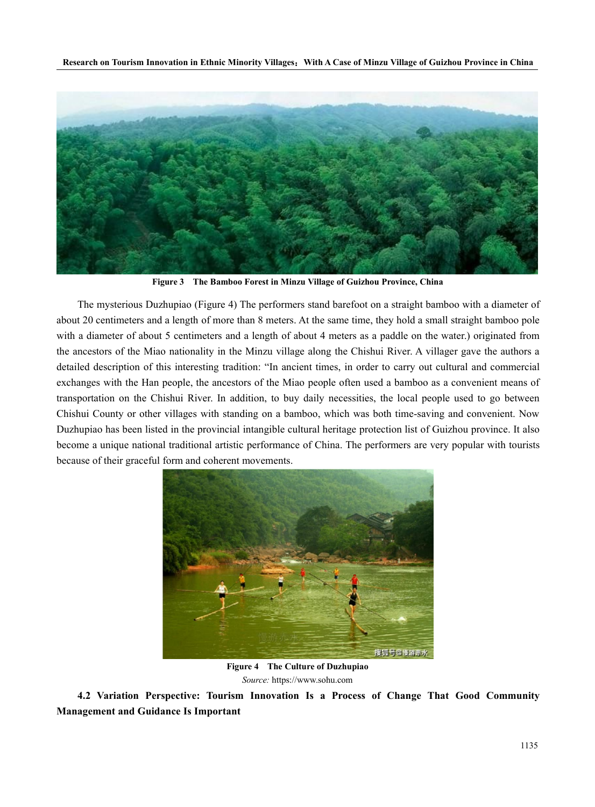Research on Tourism Innovation in Ethnic Minority Villages: With A Case of Minzu Village of Guizhou Province in China



**Figure 3 The Bamboo Forest in Minzu Village ofGuizhou Province, China**

The mysterious Duzhupiao (Figure 4) The performers stand barefoot on a straight bamboo with a diameter of about 20 centimeters and a length of more than 8 meters. At the same time, they hold a small straight bamboo pole with a diameter of about 5 centimeters and a length of about 4 meters as a paddle on the water.) originated from the ancestors of the Miao nationality in the Minzu village along the Chishui River. A villager gave the authors a detailed description of this interesting tradition: "In ancient times, in order to carry out cultural and commercial exchanges with the Han people, the ancestors of the Miao people often used a bamboo as a convenient means of transportation on the Chishui River. In addition, to buy daily necessities, the local people used to go between Chishui County or other villages with standing on a bamboo, which was both time-saving and convenient. Now Duzhupiao has been listed in the provincial intangible cultural heritage protection list of Guizhou province. It also become a unique national traditional artistic performance of China. The performers are very popular with tourists because of their graceful form and coherent movements.



**Figure 4 The Culture of Duzhupiao** *Source:* https://www.sohu.com

**4.2 Variation Perspective: Tourism Innovation Is a Process of Change That Good Community Management and Guidance IsImportant**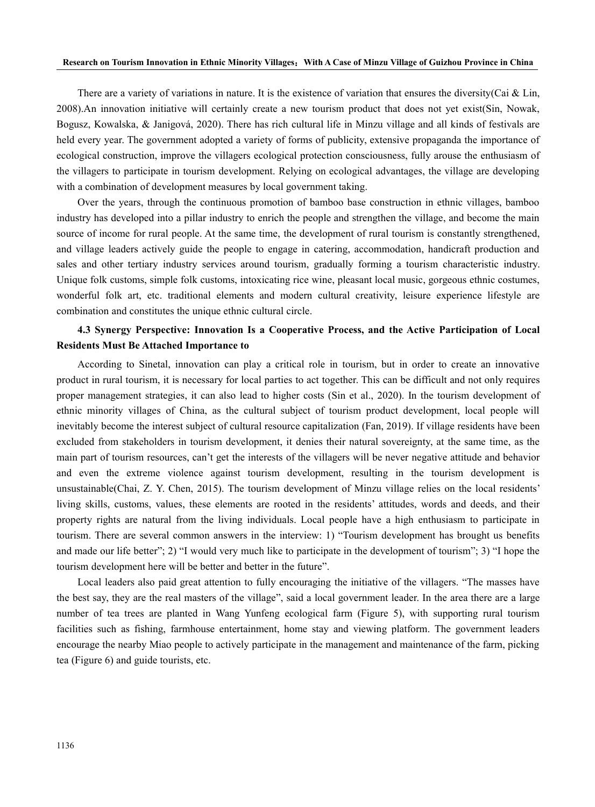There are a variety of variations in nature. It is the existence of variation that ensures the diversity(Cai & Lin, 2008).An innovation initiative will certainly create a new tourism product that does not yet exist(Sin, Nowak, Bogusz, Kowalska, & Janigová, 2020). There has rich cultural life in Minzu village and allkinds of festivals are held every year. The government adopted a variety of forms of publicity, extensive propaganda the importance of ecological construction, improve the villagers ecological protection consciousness, fully arouse the enthusiasm of the villagers to participate in tourism development. Relying on ecological advantages, the village are developing with a combination of development measures by local government taking.

Over the years, through the continuous promotion of bamboo base construction in ethnic villages, bamboo industry has developed into a pillar industry to enrich the people and strengthen the village, and become the main source of income for rural people. At the same time, the development of rural tourism is constantly strengthened, and village leaders actively guide the people to engage in catering, accommodation, handicraft production and sales and other tertiary industry services around tourism, gradually forming a tourism characteristic industry. Unique folk customs, simple folk customs, intoxicating rice wine, pleasant local music, gorgeous ethnic costumes, wonderful folk art, etc. traditional elements and modern cultural creativity, leisure experience lifestyle are combination and constitutes the unique ethnic cultural circle.

# **4.3 Synergy Perspective: Innovation Is a Cooperative Process, and the Active Participation of Local Residents Must Be Attached Importance to**

According to Sinetal, innovation can play a critical role in tourism, but in order to create an innovative product in rural tourism, it is necessary for local parties to act together. This can be difficult and not only requires proper management strategies, it can also lead to higher costs (Sin et al., 2020). In the tourism development of ethnic minority villages of China, as the cultural subject of tourism product development, local people will inevitably become the interest subject of cultural resource capitalization (Fan, 2019). If village residents have been excluded from stakeholders in tourism development, it denies their natural sovereignty, at the same time, as the main part of tourism resources, can't get the interests of the villagers will be never negative attitude and behavior and even the extreme violence against tourism development, resulting in the tourism development is unsustainable(Chai, Z. Y. Chen, 2015). The tourism development of Minzu village relies on the local residents' living skills, customs, values, these elements are rooted in the residents' attitudes, words and deeds, and their property rights are natural from the living individuals. Local people have a high enthusiasm to participate in tourism. There are several common answers in the interview: 1) "Tourism development has brought us benefits and made our life better"; 2) "I would very much like to participate in the development of tourism"; 3) "I hope the tourism development here will be better and better in the future".<br>Local leaders also paid great attention to fully encouraging the initiative of the villagers. "The masses have

the best say, they are the real masters of the village", said a local government leader. In the area there are a large number of tea trees are planted in Wang Yunfeng ecological farm (Figure 5), with supporting rural tourism facilities such as fishing, farmhouse entertainment, home stay and viewing platform. The government leaders encourage the nearby Miao people to actively participate in the management and maintenance of the farm, picking tea (Figure 6) and guide tourists, etc.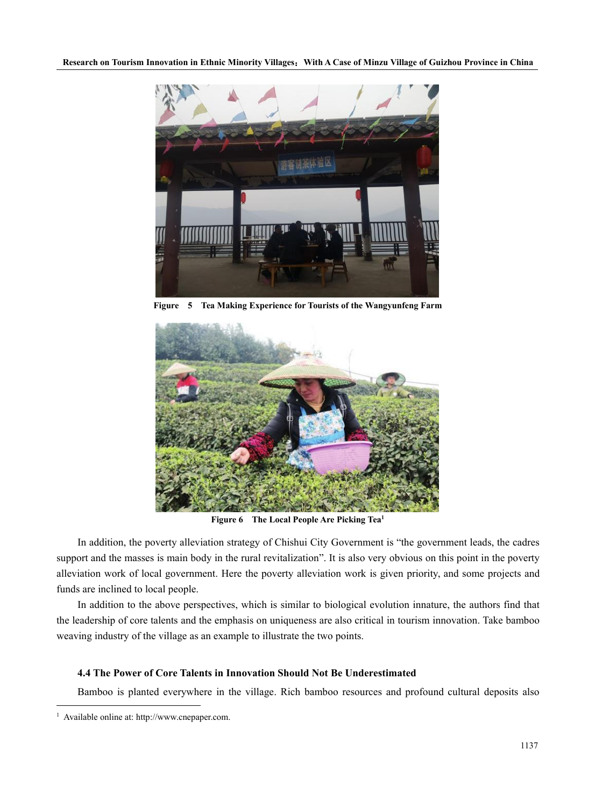

**Figure 5 Tea Making Experience for Tourists ofthe Wangyunfeng Farm**



**Figure 6 The Local People Are Picking Tea [1](#page-8-0)**

In addition, the poverty alleviation strategy of Chishui City Government is "the government leads, the cadres support and the masses is main body in the rural revitalization". It is also very obvious on this point in the poverty alleviation work of local government. Here the poverty alleviation work is given priority, and some projects and funds are inclined to local people.

In addition to the above perspectives, which is similar to biological evolution innature, the authors find that the leadership of core talents and the emphasis on uniqueness are also critical in tourism innovation. Take bamboo weaving industry of the village as an example to illustrate the two points.

# **4.4 The Power of Core Talents in Innovation Should Not Be Underestimated**

Bamboo is planted everywhere in the village. Rich bamboo resources and profound cultural deposits also

<span id="page-8-0"></span><sup>1</sup> Available online at: http://www.cnepaper.com.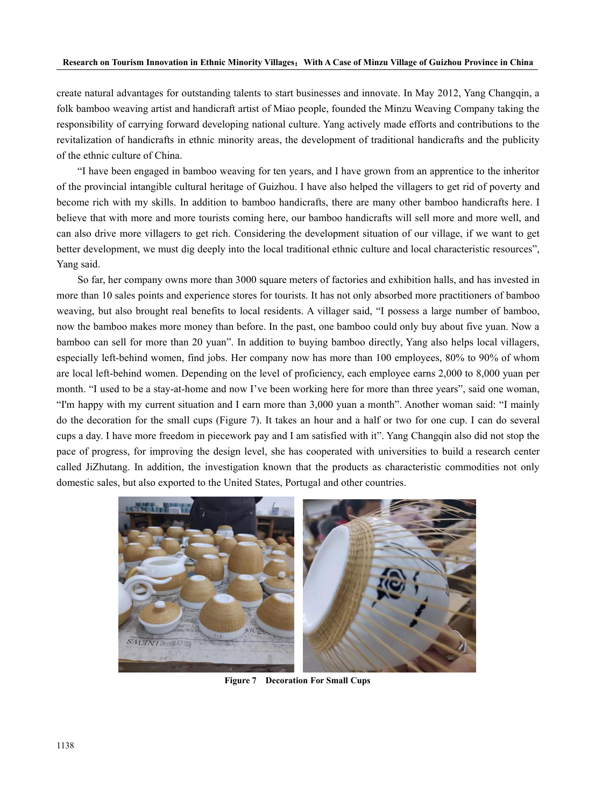create natural advantages for outstanding talents to start businesses and innovate. In May 2012, Yang Changqin, a folk bamboo weaving artist and handicraft artist of Miao people, founded the Minzu Weaving Company taking the responsibility of carrying forward developing national culture. Yang actively made efforts and contributions to the revitalization of handicrafts in ethnic minority areas, the development of traditional handicrafts and the publicity of the ethnic culture of China.

"I have been engaged in bamboo weaving for ten years, and I have grown from an apprentice to the inheritor of the provincial intangible cultural heritage of Guizhou. I have also helped the villagers to get rid of poverty and become rich with my skills. In addition to bamboo handicrafts, there are many other bamboo handicrafts here. I believe that with more and more tourists coming here, our bamboo handicrafts will sell more and more well, and can also drive more villagers to get rich. Considering the development situation of our village, if we want to get better development, we must dig deeply into the local traditional ethnic culture and local characteristic resources", Yang said.

So far, her company owns more than 3000 square meters of factories and exhibition halls, and has invested in more than 10 sales points and experience stores for tourists. It has not only absorbed more practitioners of bamboo weaving, but also brought real benefits to local residents. A villager said, "I possess a large number of bamboo, now the bamboo makes more money than before. In the past, one bamboo could only buy about five yuan. Now a bamboo can sell formore than 20 yuan". In addition to buying bamboo directly, Yang also helps local villagers, especially left-behind women, find jobs. Her company now has more than 100 employees, 80% to 90% of whom are local left-behind women. Depending on the level of proficiency, each employee earns 2,000 to 8,000 yuan per month. "I used to be a stay-at-home and now I've been working here for more than three years", said one woman, "I'm happy with my current situation and I earn more than 3,000 yuan a month". Another woman said: "I mainly do the decoration for the small cups (Figure 7). It takes an hour and a half or two for one cup. I can do several cups a day.I have more freedom in piecework pay and I am satisfied with it". Yang Changqin also did not stop the pace of progress, for improving the design level, she has cooperated with universities to build a research center called JiZhutang. In addition, the investigation known that the products as characteristic commodities not only domestic sales, but also exported to the United States, Portugal and other countries.



**Figure 7 Decoration For Small Cups**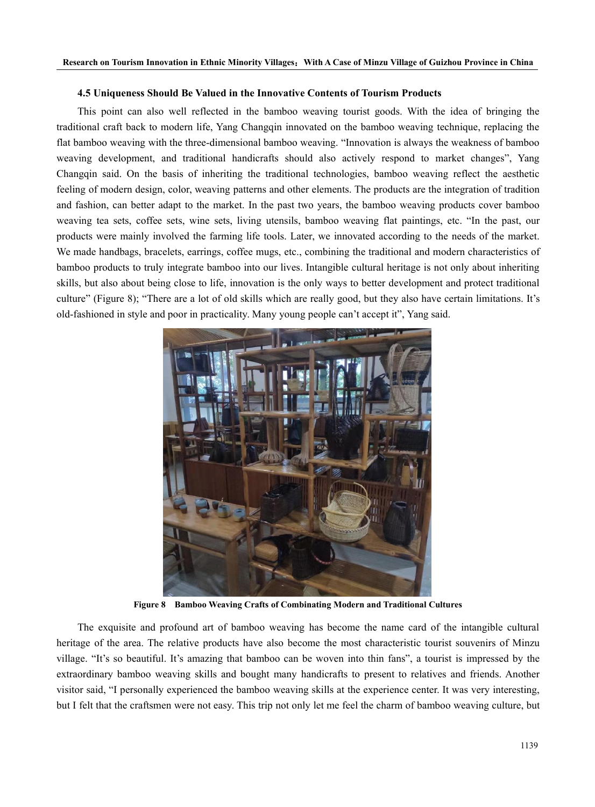## **4.5 Uniqueness Should Be Valued in the Innovative Contents of Tourism Products**

This point can also well reflected in the bamboo weaving tourist goods. With the idea of bringing the traditional craft back to modern life, Yang Changqin innovated on the bamboo weaving technique, replacing the flat bamboo weaving with the three-dimensional bamboo weaving. "Innovation is always the weakness of bamboo weaving development, and traditional handicrafts should also actively respond to market changes", Yang Changqin said. On the basis of inheriting the traditional technologies, bamboo weaving reflect the aesthetic feeling of modern design, color, weaving patterns and other elements. The products are the integration of tradition and fashion, can better adapt to the market. In the past two years, the bamboo weaving products cover bamboo weaving tea sets, coffee sets, wine sets, living utensils, bamboo weaving flat paintings, etc. "In the past, our products were mainly involved the farming life tools. Later, we innovated according to the needs of the market. We made handbags, bracelets, earrings, coffee mugs, etc., combining the traditional and modern characteristics of bamboo products to truly integrate bamboo into our lives. Intangible cultural heritage is not only about inheriting skills, but also about being close to life, innovation is the only ways to better development and protect traditional culture" (Figure 8); "There are a lot of old skills which are really good, but they also have certain limitations. It's old-fashioned in style and poor in practicality. Many young people can't accept it", Yang said.



**Figure 8 Bamboo Weaving Crafts ofCombinating Modern and Traditional Cultures**

The exquisite and profound art of bamboo weaving has become the name card of the intangible cultural heritage of the area. The relative products have also become the most characteristic tourist souvenirs of Minzu village. "It's so beautiful. It's amazing that bamboo can be woven into thin fans", a tourist is impressed by the extraordinary bamboo weaving skills and bought many handicrafts to present to relatives and friends. Another visitor said, "I personally experienced the bamboo weaving skills at the experience center. It was very interesting, but I felt that the craftsmen were not easy. This trip not only let me feel the charm of bamboo weaving c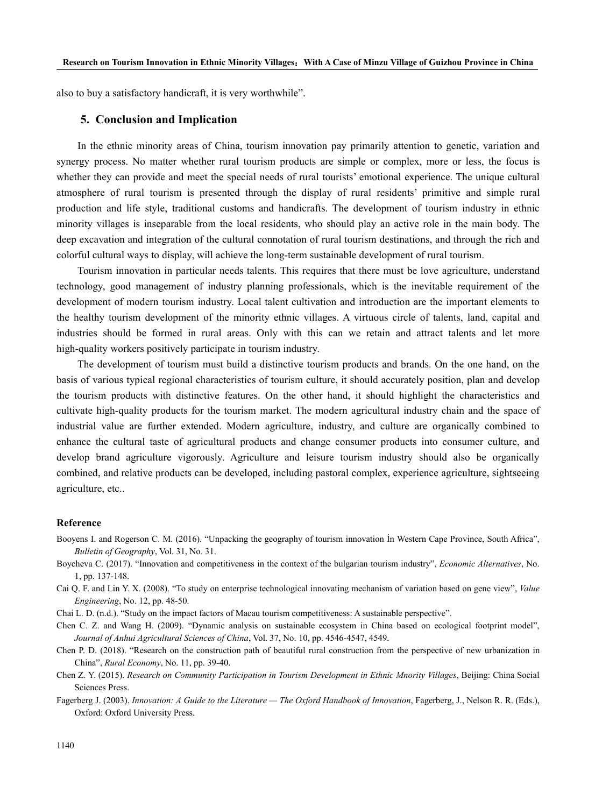also to buy a satisfactory handicraft, it is very worthwhile".

# **5. Conclusion and Implication**

In the ethnic minority areas of China, tourism innovation pay primarily attention to genetic, variation and synergy process. No matter whether rural tourism products are simple or complex, more or less, the focus is whether they can provide and meet the special needs of rural tourists' emotional experience. The unique cultural atmosphere of rural tourism is presented through the display of rural residents' primitive and simple rural production and life style, traditional customs and handicrafts. The development of tourism industry in ethnic minority villages is inseparable from the local residents, who should play an active role in the main body. The deep excavation and integration of the cultural connotation of rural tourism destinations, and through the rich and colorful cultural ways to display, will achieve the long-term sustainable development of rural tourism.

Tourism innovation in particular needs talents. This requires that there must be love agriculture, understand technology, good management of industry planning professionals, which is the inevitable requirement of the development of modern tourism industry. Local talent cultivation and introduction are the important elements to the healthy tourism development of the minority ethnic villages. A virtuous circle of talents, land, capital and industries should be formed in rural areas. Only with this can we retain and attract talents and let more high-quality workers positively participate in tourism industry.

The development of tourism must build a distinctive tourism products and brands. On the one hand, on the basis of various typical regional characteristics of tourism culture, it should accurately position, plan and develop the tourism products with distinctive features. On the other hand, it should highlight the characteristics and cultivate high-quality products for the tourism market. The modern agricultural industry chain and the space of industrial value are further extended. Modern agriculture, industry, and culture are organically combined to enhance the cultural taste of agricultural products and change consumer products into consumer culture, and develop brand agriculture vigorously. Agriculture and leisure tourism industry should also be organically combined, and relative products can be developed, including pastoral complex, experience agriculture, sightseeing agriculture, etc..

## **Reference**

- Booyens I. and Rogerson C. M. (2016). "Unpacking the geography of tourism innovation İn Western Cape Province, South Africa", *Bulletin of Geography*, Vol. 31, No*.* 31.
- Boycheva C. (2017). "Innovation and competitiveness in the context of the bulgarian tourism industry", *Economic Alternatives*, No. 1, pp. 137-148.
- Cai Q. F. and Lin Y. X. (2008). "To study on enterprise technological innovating mechanism of variation based on gene view", *Value Engineering*, No. 12, pp. 48-50.
- Chai L. D. (n.d.). "Study on the impact factors of Macau tourism competitiveness: A sustainable perspective".
- Chen C. Z. and Wang H. (2009)."Dynamic analysis on sustainable ecosystem in China based on ecological footprint model", *Journal of Anhui Agricultural Sciences of China*, Vol. 37, No. 10, pp. 4546-4547, 4549.
- Chen P. D. (2018). "Research on the construction path of beautiful rural construction from the perspective of new urbanization in China", *Rural Economy*, No. 11, pp. 39-40.
- Chen Z. Y. (2015). *Research on Community Participation in Tourism Development in Ethnic Mnority Villages*, Beijing: China Social Sciences Press.
- Fagerberg J. (2003). *Innovation: A Guide to the Literature — The Oxford Handbook of Innovation*, Fagerberg, J., Nelson R. R. (Eds.), Oxford: Oxford University Press.